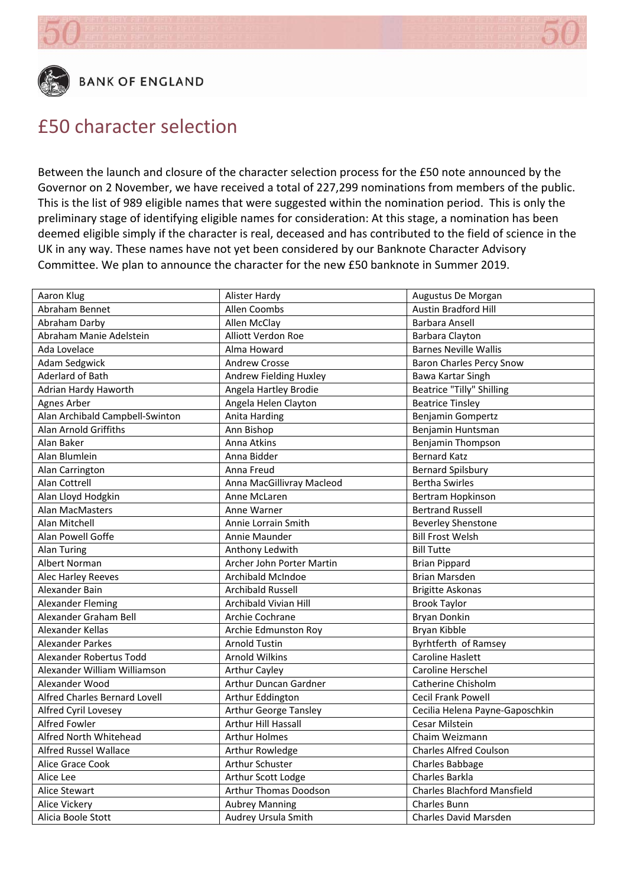



### £50 character selection

Between the launch and closure of the character selection process for the £50 note announced by the Governor on 2 November, we have received a total of 227,299 nominations from members of the public. This is the list of 989 eligible names that were suggested within the nomination period. This is only the preliminary stage of identifying eligible names for consideration: At this stage, a nomination has been deemed eligible simply if the character is real, deceased and has contributed to the field of science in the UK in any way. These names have not yet been considered by our Banknote Character Advisory Committee. We plan to announce the character for the new £50 banknote in Summer 2019.

| Aaron Klug                      | Alister Hardy                | Augustus De Morgan                 |
|---------------------------------|------------------------------|------------------------------------|
| Abraham Bennet                  | Allen Coombs                 | Austin Bradford Hill               |
| Abraham Darby                   | Allen McClay                 | Barbara Ansell                     |
| Abraham Manie Adelstein         | Alliott Verdon Roe           | Barbara Clayton                    |
| Ada Lovelace                    | Alma Howard                  | <b>Barnes Neville Wallis</b>       |
| Adam Sedgwick                   | <b>Andrew Crosse</b>         | <b>Baron Charles Percy Snow</b>    |
| <b>Aderlard of Bath</b>         | Andrew Fielding Huxley       | Bawa Kartar Singh                  |
| Adrian Hardy Haworth            | Angela Hartley Brodie        | <b>Beatrice "Tilly" Shilling</b>   |
| <b>Agnes Arber</b>              | Angela Helen Clayton         | <b>Beatrice Tinsley</b>            |
| Alan Archibald Campbell-Swinton | Anita Harding                | Benjamin Gompertz                  |
| <b>Alan Arnold Griffiths</b>    | Ann Bishop                   | Benjamin Huntsman                  |
| Alan Baker                      | Anna Atkins                  | Benjamin Thompson                  |
| Alan Blumlein                   | Anna Bidder                  | <b>Bernard Katz</b>                |
| Alan Carrington                 | Anna Freud                   | <b>Bernard Spilsbury</b>           |
| Alan Cottrell                   | Anna MacGillivray Macleod    | <b>Bertha Swirles</b>              |
| Alan Lloyd Hodgkin              | Anne McLaren                 | Bertram Hopkinson                  |
| Alan MacMasters                 | Anne Warner                  | <b>Bertrand Russell</b>            |
| Alan Mitchell                   | Annie Lorrain Smith          | <b>Beverley Shenstone</b>          |
| Alan Powell Goffe               | Annie Maunder                | <b>Bill Frost Welsh</b>            |
| <b>Alan Turing</b>              | Anthony Ledwith              | <b>Bill Tutte</b>                  |
| Albert Norman                   | Archer John Porter Martin    | <b>Brian Pippard</b>               |
| Alec Harley Reeves              | Archibald McIndoe            | <b>Brian Marsden</b>               |
| Alexander Bain                  | <b>Archibald Russell</b>     | <b>Brigitte Askonas</b>            |
| <b>Alexander Fleming</b>        | Archibald Vivian Hill        | <b>Brook Taylor</b>                |
| Alexander Graham Bell           | Archie Cochrane              | <b>Bryan Donkin</b>                |
| Alexander Kellas                | Archie Edmunston Roy         | Bryan Kibble                       |
| <b>Alexander Parkes</b>         | <b>Arnold Tustin</b>         | Byrhtferth of Ramsey               |
| Alexander Robertus Todd         | <b>Arnold Wilkins</b>        | <b>Caroline Haslett</b>            |
| Alexander William Williamson    | <b>Arthur Cayley</b>         | Caroline Herschel                  |
| Alexander Wood                  | Arthur Duncan Gardner        | Catherine Chisholm                 |
| Alfred Charles Bernard Lovell   | Arthur Eddington             | <b>Cecil Frank Powell</b>          |
| Alfred Cyril Lovesey            | <b>Arthur George Tansley</b> | Cecilia Helena Payne-Gaposchkin    |
| <b>Alfred Fowler</b>            | Arthur Hill Hassall          | Cesar Milstein                     |
| Alfred North Whitehead          | <b>Arthur Holmes</b>         | Chaim Weizmann                     |
| <b>Alfred Russel Wallace</b>    | Arthur Rowledge              | <b>Charles Alfred Coulson</b>      |
| Alice Grace Cook                | Arthur Schuster              | Charles Babbage                    |
| Alice Lee                       | Arthur Scott Lodge           | Charles Barkla                     |
| Alice Stewart                   | <b>Arthur Thomas Doodson</b> | <b>Charles Blachford Mansfield</b> |
| Alice Vickery                   | <b>Aubrey Manning</b>        | <b>Charles Bunn</b>                |
| Alicia Boole Stott              | Audrey Ursula Smith          | Charles David Marsden              |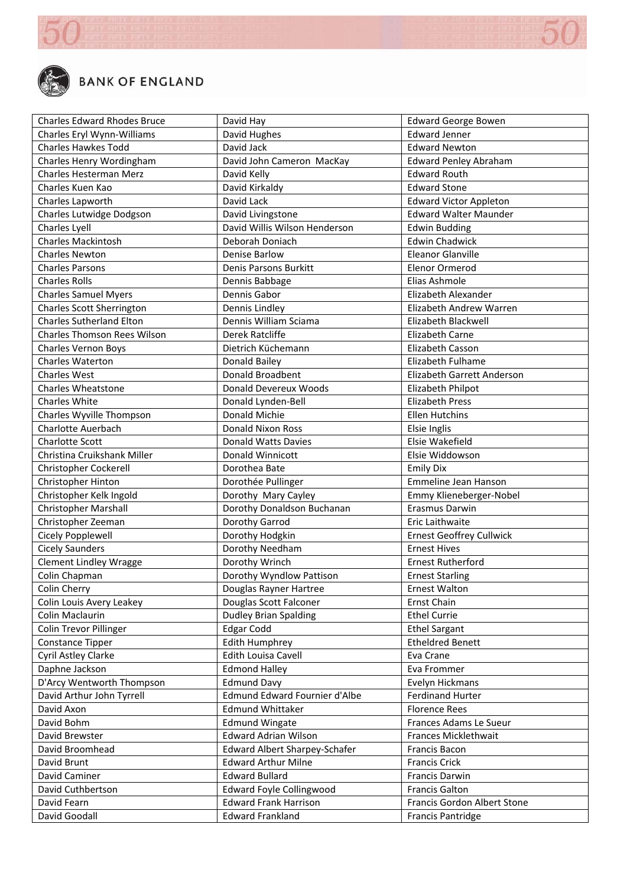

| <b>Charles Edward Rhodes Bruce</b> | David Hay                            | <b>Edward George Bowen</b>      |
|------------------------------------|--------------------------------------|---------------------------------|
| Charles Eryl Wynn-Williams         | David Hughes                         | <b>Edward Jenner</b>            |
| <b>Charles Hawkes Todd</b>         | David Jack                           | <b>Edward Newton</b>            |
| Charles Henry Wordingham           | David John Cameron MacKay            | <b>Edward Penley Abraham</b>    |
| Charles Hesterman Merz             | David Kelly                          | <b>Edward Routh</b>             |
| Charles Kuen Kao                   | David Kirkaldy                       | <b>Edward Stone</b>             |
| Charles Lapworth                   | David Lack                           | <b>Edward Victor Appleton</b>   |
| Charles Lutwidge Dodgson           | David Livingstone                    | <b>Edward Walter Maunder</b>    |
| Charles Lyell                      | David Willis Wilson Henderson        | <b>Edwin Budding</b>            |
| <b>Charles Mackintosh</b>          | Deborah Doniach                      | <b>Edwin Chadwick</b>           |
| <b>Charles Newton</b>              | <b>Denise Barlow</b>                 | <b>Eleanor Glanville</b>        |
| <b>Charles Parsons</b>             | Denis Parsons Burkitt                | <b>Elenor Ormerod</b>           |
| <b>Charles Rolls</b>               | Dennis Babbage                       | Elias Ashmole                   |
| <b>Charles Samuel Myers</b>        | Dennis Gabor                         | Elizabeth Alexander             |
| <b>Charles Scott Sherrington</b>   | Dennis Lindley                       | Elizabeth Andrew Warren         |
| <b>Charles Sutherland Elton</b>    | Dennis William Sciama                | Elizabeth Blackwell             |
| <b>Charles Thomson Rees Wilson</b> | Derek Ratcliffe                      | Elizabeth Carne                 |
| Charles Vernon Boys                | Dietrich Küchemann                   | Elizabeth Casson                |
| <b>Charles Waterton</b>            | Donald Bailey                        | <b>Elizabeth Fulhame</b>        |
| <b>Charles West</b>                | Donald Broadbent                     | Elizabeth Garrett Anderson      |
| <b>Charles Wheatstone</b>          | <b>Donald Devereux Woods</b>         | Elizabeth Philpot               |
| Charles White                      | Donald Lynden-Bell                   | <b>Elizabeth Press</b>          |
| Charles Wyville Thompson           | Donald Michie                        | <b>Ellen Hutchins</b>           |
| Charlotte Auerbach                 | Donald Nixon Ross                    | Elsie Inglis                    |
| <b>Charlotte Scott</b>             | <b>Donald Watts Davies</b>           | Elsie Wakefield                 |
| Christina Cruikshank Miller        | Donald Winnicott                     | Elsie Widdowson                 |
| Christopher Cockerell              | Dorothea Bate                        | <b>Emily Dix</b>                |
| Christopher Hinton                 | Dorothée Pullinger                   | Emmeline Jean Hanson            |
| Christopher Kelk Ingold            | Dorothy Mary Cayley                  | Emmy Klieneberger-Nobel         |
| <b>Christopher Marshall</b>        | Dorothy Donaldson Buchanan           | Erasmus Darwin                  |
| Christopher Zeeman                 | Dorothy Garrod                       | Eric Laithwaite                 |
| Cicely Popplewell                  | Dorothy Hodgkin                      | <b>Ernest Geoffrey Cullwick</b> |
| <b>Cicely Saunders</b>             | Dorothy Needham                      | <b>Ernest Hives</b>             |
| <b>Clement Lindley Wragge</b>      | Dorothy Wrinch                       | <b>Ernest Rutherford</b>        |
| Colin Chapman                      | Dorothy Wyndlow Pattison             | <b>Ernest Starling</b>          |
| Colin Cherry                       | Douglas Rayner Hartree               | Ernest Walton                   |
| Colin Louis Avery Leakey           | Douglas Scott Falconer               | Ernst Chain                     |
| Colin Maclaurin                    | <b>Dudley Brian Spalding</b>         | <b>Ethel Currie</b>             |
| Colin Trevor Pillinger             | <b>Edgar Codd</b>                    | <b>Ethel Sargant</b>            |
| Constance Tipper                   | <b>Edith Humphrey</b>                | <b>Etheldred Benett</b>         |
| Cyril Astley Clarke                | Edith Louisa Cavell                  | Eva Crane                       |
| Daphne Jackson                     | <b>Edmond Halley</b>                 | Eva Frommer                     |
| D'Arcy Wentworth Thompson          | <b>Edmund Davy</b>                   | Evelyn Hickmans                 |
| David Arthur John Tyrrell          | Edmund Edward Fournier d'Albe        | <b>Ferdinand Hurter</b>         |
| David Axon                         | <b>Edmund Whittaker</b>              | <b>Florence Rees</b>            |
| David Bohm                         | <b>Edmund Wingate</b>                | Frances Adams Le Sueur          |
| David Brewster                     | <b>Edward Adrian Wilson</b>          | Frances Micklethwait            |
| David Broomhead                    | <b>Edward Albert Sharpey-Schafer</b> | Francis Bacon                   |
| David Brunt                        | <b>Edward Arthur Milne</b>           | <b>Francis Crick</b>            |
| David Caminer                      | <b>Edward Bullard</b>                | Francis Darwin                  |
| David Cuthbertson                  | <b>Edward Foyle Collingwood</b>      | <b>Francis Galton</b>           |
| David Fearn                        | <b>Edward Frank Harrison</b>         | Francis Gordon Albert Stone     |
| David Goodall                      | <b>Edward Frankland</b>              | <b>Francis Pantridge</b>        |
|                                    |                                      |                                 |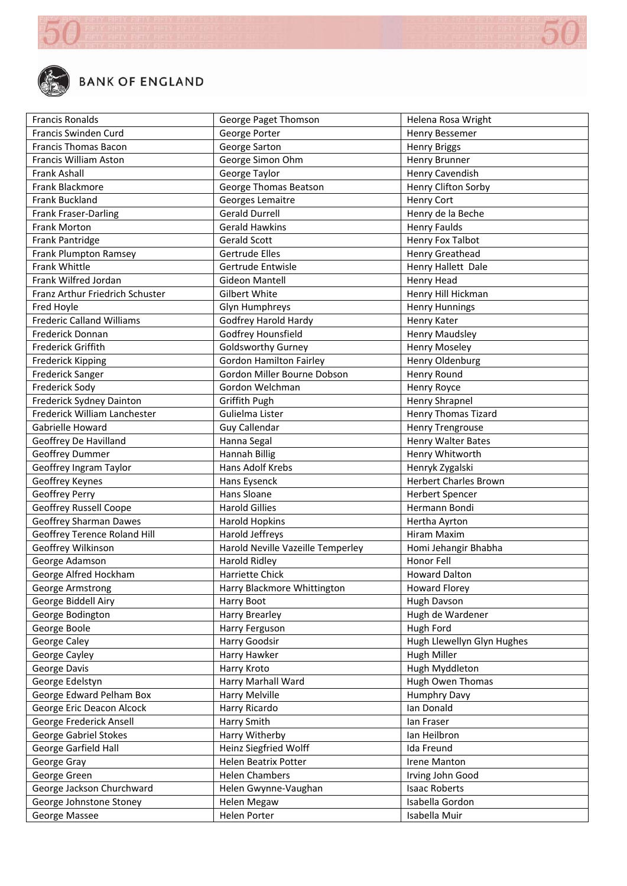

| <b>Francis Ronalds</b>                                  | George Paget Thomson                               | Helena Rosa Wright                 |
|---------------------------------------------------------|----------------------------------------------------|------------------------------------|
| <b>Francis Swinden Curd</b>                             | George Porter                                      | Henry Bessemer                     |
| <b>Francis Thomas Bacon</b>                             | George Sarton                                      | <b>Henry Briggs</b>                |
| Francis William Aston                                   | George Simon Ohm                                   | Henry Brunner                      |
| <b>Frank Ashall</b>                                     | George Taylor                                      | Henry Cavendish                    |
| Frank Blackmore                                         | George Thomas Beatson                              | Henry Clifton Sorby                |
| Frank Buckland                                          | Georges Lemaitre                                   | <b>Henry Cort</b>                  |
| Frank Fraser-Darling                                    | <b>Gerald Durrell</b>                              | Henry de la Beche                  |
| <b>Frank Morton</b>                                     | <b>Gerald Hawkins</b>                              | <b>Henry Faulds</b>                |
| Frank Pantridge                                         | <b>Gerald Scott</b>                                | Henry Fox Talbot                   |
| Frank Plumpton Ramsey                                   | Gertrude Elles                                     | Henry Greathead                    |
| Frank Whittle                                           | Gertrude Entwisle                                  | Henry Hallett Dale                 |
| Frank Wilfred Jordan                                    | <b>Gideon Mantell</b>                              | Henry Head                         |
| Franz Arthur Friedrich Schuster                         | Gilbert White                                      | Henry Hill Hickman                 |
| Fred Hoyle                                              | Glyn Humphreys                                     | <b>Henry Hunnings</b>              |
| <b>Frederic Calland Williams</b>                        | Godfrey Harold Hardy                               | Henry Kater                        |
| Frederick Donnan                                        | Godfrey Hounsfield                                 | <b>Henry Maudsley</b>              |
| Frederick Griffith                                      | <b>Goldsworthy Gurney</b>                          | <b>Henry Moseley</b>               |
| Frederick Kipping                                       | <b>Gordon Hamilton Fairley</b>                     | Henry Oldenburg                    |
| Frederick Sanger                                        | Gordon Miller Bourne Dobson                        | Henry Round                        |
| Frederick Sody                                          | Gordon Welchman                                    | Henry Royce                        |
| Frederick Sydney Dainton                                | Griffith Pugh                                      | <b>Henry Shrapnel</b>              |
| Frederick William Lanchester                            | Gulielma Lister                                    | <b>Henry Thomas Tizard</b>         |
| Gabrielle Howard                                        | Guy Callendar                                      | <b>Henry Trengrouse</b>            |
| Geoffrey De Havilland                                   | Hanna Segal                                        | Henry Walter Bates                 |
| Geoffrey Dummer                                         | <b>Hannah Billig</b>                               | Henry Whitworth                    |
| Geoffrey Ingram Taylor                                  | Hans Adolf Krebs                                   | Henryk Zygalski                    |
|                                                         | Hans Eysenck                                       | <b>Herbert Charles Brown</b>       |
| Geoffrey Keynes<br>Geoffrey Perry                       | Hans Sloane                                        | <b>Herbert Spencer</b>             |
|                                                         | <b>Harold Gillies</b>                              | Hermann Bondi                      |
| Geoffrey Russell Coope<br><b>Geoffrey Sharman Dawes</b> | <b>Harold Hopkins</b>                              |                                    |
| Geoffrey Terence Roland Hill                            | Harold Jeffreys                                    | Hertha Ayrton<br>Hiram Maxim       |
|                                                         |                                                    |                                    |
| Geoffrey Wilkinson                                      | Harold Neville Vazeille Temperley<br>Harold Ridley | Homi Jehangir Bhabha<br>Honor Fell |
| George Adamson                                          | <b>Harriette Chick</b>                             | <b>Howard Dalton</b>               |
| George Alfred Hockham                                   |                                                    |                                    |
| George Armstrong                                        | Harry Blackmore Whittington                        | Howard Florey                      |
| George Biddell Airy                                     | Harry Boot                                         | Hugh Davson                        |
| George Bodington                                        | <b>Harry Brearley</b>                              | Hugh de Wardener                   |
| George Boole                                            | Harry Ferguson                                     | Hugh Ford                          |
| George Caley                                            | Harry Goodsir                                      | Hugh Llewellyn Glyn Hughes         |
| George Cayley                                           | Harry Hawker                                       | Hugh Miller                        |
| George Davis                                            | Harry Kroto                                        | Hugh Myddleton                     |
| George Edelstyn                                         | Harry Marhall Ward                                 | Hugh Owen Thomas                   |
| George Edward Pelham Box                                | Harry Melville                                     | <b>Humphry Davy</b>                |
| George Eric Deacon Alcock                               | Harry Ricardo                                      | Ian Donald                         |
| George Frederick Ansell                                 | Harry Smith                                        | lan Fraser                         |
| <b>George Gabriel Stokes</b>                            | Harry Witherby                                     | Ian Heilbron                       |
| George Garfield Hall                                    | Heinz Siegfried Wolff                              | Ida Freund                         |
| George Gray                                             | Helen Beatrix Potter                               | Irene Manton                       |
| George Green                                            | <b>Helen Chambers</b>                              | Irving John Good                   |
| George Jackson Churchward                               | Helen Gwynne-Vaughan                               | <b>Isaac Roberts</b>               |
| George Johnstone Stoney                                 | Helen Megaw                                        | Isabella Gordon                    |
| George Massee                                           | Helen Porter                                       | Isabella Muir                      |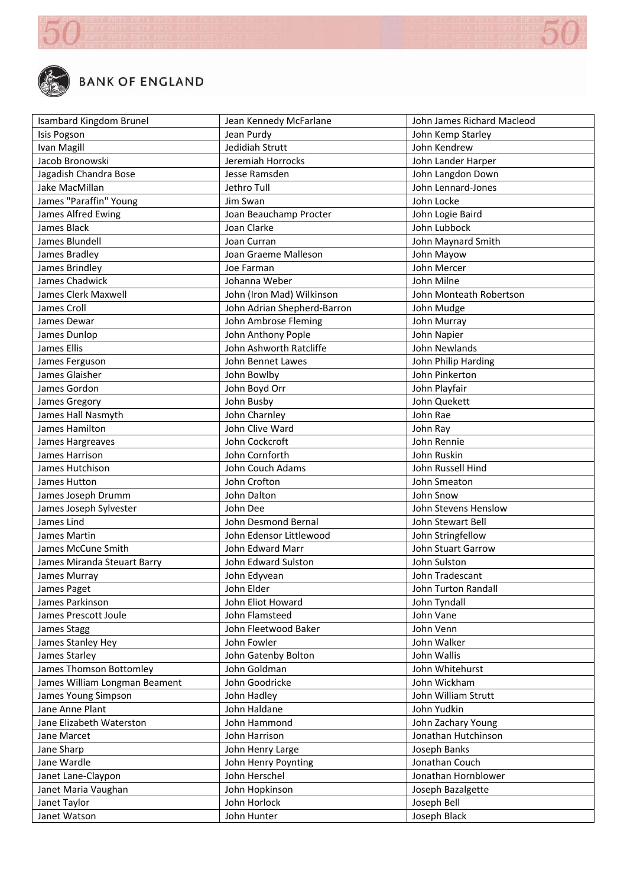

| Isambard Kingdom Brunel       | Jean Kennedy McFarlane      | John James Richard Macleod |
|-------------------------------|-----------------------------|----------------------------|
| Isis Pogson                   | Jean Purdy                  | John Kemp Starley          |
| Ivan Magill                   | Jedidiah Strutt             | John Kendrew               |
| Jacob Bronowski               | Jeremiah Horrocks           | John Lander Harper         |
| Jagadish Chandra Bose         | Jesse Ramsden               | John Langdon Down          |
| Jake MacMillan                | Jethro Tull                 | John Lennard-Jones         |
| James "Paraffin" Young        | Jim Swan                    | John Locke                 |
| James Alfred Ewing            | Joan Beauchamp Procter      | John Logie Baird           |
| James Black                   | Joan Clarke                 | John Lubbock               |
| James Blundell                | Joan Curran                 | John Maynard Smith         |
| James Bradley                 | Joan Graeme Malleson        | John Mayow                 |
| James Brindley                | Joe Farman                  | John Mercer                |
| James Chadwick                | Johanna Weber               | John Milne                 |
| James Clerk Maxwell           | John (Iron Mad) Wilkinson   | John Monteath Robertson    |
| James Croll                   | John Adrian Shepherd-Barron | John Mudge                 |
| James Dewar                   | John Ambrose Fleming        | John Murray                |
| James Dunlop                  | John Anthony Pople          | John Napier                |
| James Ellis                   | John Ashworth Ratcliffe     | John Newlands              |
| James Ferguson                | John Bennet Lawes           | John Philip Harding        |
| James Glaisher                | John Bowlby                 | John Pinkerton             |
| James Gordon                  | John Boyd Orr               | John Playfair              |
| James Gregory                 | John Busby                  | John Quekett               |
| James Hall Nasmyth            | John Charnley               | John Rae                   |
| James Hamilton                | John Clive Ward             | John Ray                   |
| James Hargreaves              | John Cockcroft              | John Rennie                |
| James Harrison                | John Cornforth              | John Ruskin                |
| James Hutchison               | John Couch Adams            | John Russell Hind          |
| James Hutton                  | John Crofton                | John Smeaton               |
| James Joseph Drumm            | John Dalton                 | John Snow                  |
| James Joseph Sylvester        | John Dee                    | John Stevens Henslow       |
| James Lind                    | John Desmond Bernal         | John Stewart Bell          |
| James Martin                  | John Edensor Littlewood     | John Stringfellow          |
| James McCune Smith            | John Edward Marr            | John Stuart Garrow         |
| James Miranda Steuart Barry   | John Edward Sulston         | John Sulston               |
| James Murray                  | John Edyvean                | John Tradescant            |
| James Paget                   | John Elder                  | John Turton Randall        |
| James Parkinson               | John Eliot Howard           | John Tyndall               |
| James Prescott Joule          | John Flamsteed              | John Vane                  |
| James Stagg                   | John Fleetwood Baker        | John Venn                  |
| James Stanley Hey             | John Fowler                 | John Walker                |
| James Starley                 | John Gatenby Bolton         | John Wallis                |
| James Thomson Bottomley       | John Goldman                | John Whitehurst            |
| James William Longman Beament | John Goodricke              | John Wickham               |
| James Young Simpson           | John Hadley                 | John William Strutt        |
| Jane Anne Plant               | John Haldane                | John Yudkin                |
| Jane Elizabeth Waterston      | John Hammond                | John Zachary Young         |
| Jane Marcet                   | John Harrison               | Jonathan Hutchinson        |
| Jane Sharp                    | John Henry Large            | Joseph Banks               |
| Jane Wardle                   | John Henry Poynting         | Jonathan Couch             |
| Janet Lane-Claypon            | John Herschel               | Jonathan Hornblower        |
| Janet Maria Vaughan           | John Hopkinson              | Joseph Bazalgette          |
| Janet Taylor                  | John Horlock                | Joseph Bell                |
| Janet Watson                  | John Hunter                 | Joseph Black               |
|                               |                             |                            |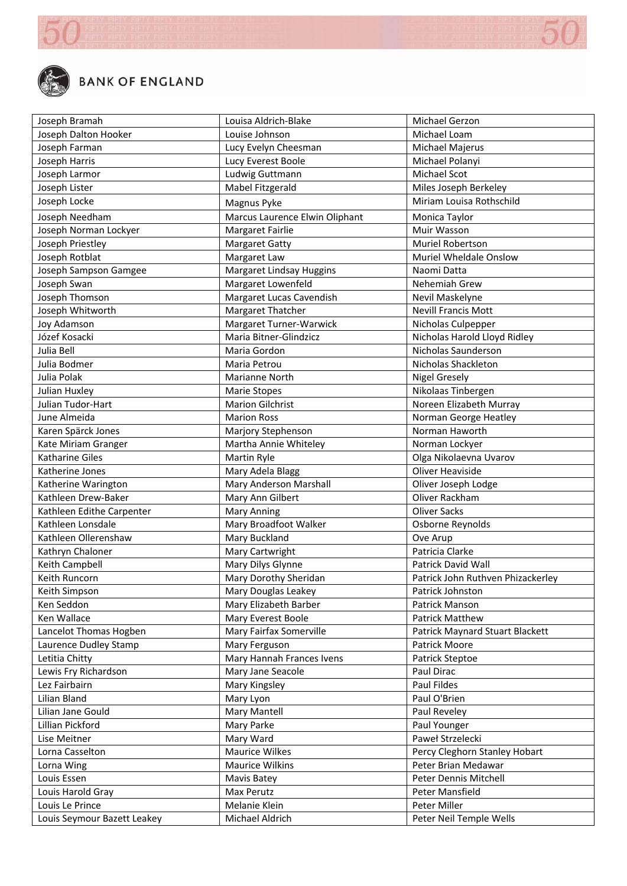

| Joseph Bramah                | Louisa Aldrich-Blake           | Michael Gerzon                    |
|------------------------------|--------------------------------|-----------------------------------|
| Joseph Dalton Hooker         | Louise Johnson                 | Michael Loam                      |
| Joseph Farman                | Lucy Evelyn Cheesman           | Michael Majerus                   |
| Joseph Harris                | Lucy Everest Boole             | Michael Polanyi                   |
| Joseph Larmor                | Ludwig Guttmann                | Michael Scot                      |
| Joseph Lister                | Mabel Fitzgerald               | Miles Joseph Berkeley             |
| Joseph Locke                 | Magnus Pyke                    | Miriam Louisa Rothschild          |
| Joseph Needham               | Marcus Laurence Elwin Oliphant | Monica Taylor                     |
| Joseph Norman Lockyer        | Margaret Fairlie               | Muir Wasson                       |
| Joseph Priestley             | <b>Margaret Gatty</b>          | Muriel Robertson                  |
| Joseph Rotblat               | Margaret Law                   | Muriel Wheldale Onslow            |
| Joseph Sampson Gamgee        | Margaret Lindsay Huggins       | Naomi Datta                       |
| Joseph Swan                  | Margaret Lowenfeld             | Nehemiah Grew                     |
| Joseph Thomson               | Margaret Lucas Cavendish       | Nevil Maskelyne                   |
| Joseph Whitworth             | Margaret Thatcher              | <b>Nevill Francis Mott</b>        |
|                              | Margaret Turner-Warwick        |                                   |
| Joy Adamson<br>Józef Kosacki | Maria Bitner-Glindzicz         | Nicholas Culpepper                |
|                              |                                | Nicholas Harold Lloyd Ridley      |
| Julia Bell                   | Maria Gordon                   | Nicholas Saunderson               |
| Julia Bodmer                 | Maria Petrou                   | Nicholas Shackleton               |
| Julia Polak                  | <b>Marianne North</b>          | <b>Nigel Gresely</b>              |
| Julian Huxley                | <b>Marie Stopes</b>            | Nikolaas Tinbergen                |
| Julian Tudor-Hart            | <b>Marion Gilchrist</b>        | Noreen Elizabeth Murray           |
| June Almeida                 | <b>Marion Ross</b>             | Norman George Heatley             |
| Karen Spärck Jones           | Marjory Stephenson             | Norman Haworth                    |
| Kate Miriam Granger          | Martha Annie Whiteley          | Norman Lockyer                    |
| Katharine Giles              | Martin Ryle                    | Olga Nikolaevna Uvarov            |
| Katherine Jones              | Mary Adela Blagg               | Oliver Heaviside                  |
| Katherine Warington          | Mary Anderson Marshall         | Oliver Joseph Lodge               |
| Kathleen Drew-Baker          | Mary Ann Gilbert               | Oliver Rackham                    |
| Kathleen Edithe Carpenter    | <b>Mary Anning</b>             | <b>Oliver Sacks</b>               |
| Kathleen Lonsdale            | Mary Broadfoot Walker          | Osborne Reynolds                  |
| Kathleen Ollerenshaw         | Mary Buckland                  | Ove Arup                          |
| Kathryn Chaloner             | Mary Cartwright                | Patricia Clarke                   |
| Keith Campbell               | Mary Dilys Glynne              | Patrick David Wall                |
| Keith Runcorn                | Mary Dorothy Sheridan          | Patrick John Ruthven Phizackerley |
| Keith Simpson                | Mary Douglas Leakey            | Patrick Johnston                  |
| Ken Seddon                   | Mary Elizabeth Barber          | Patrick Manson                    |
| Ken Wallace                  | Mary Everest Boole             | <b>Patrick Matthew</b>            |
| Lancelot Thomas Hogben       | Mary Fairfax Somerville        | Patrick Maynard Stuart Blackett   |
| Laurence Dudley Stamp        | Mary Ferguson                  | Patrick Moore                     |
| Letitia Chitty               | Mary Hannah Frances Ivens      | Patrick Steptoe                   |
| Lewis Fry Richardson         | Mary Jane Seacole              | Paul Dirac                        |
| Lez Fairbairn                | Mary Kingsley                  | Paul Fildes                       |
| Lilian Bland                 | Mary Lyon                      | Paul O'Brien                      |
| Lilian Jane Gould            | Mary Mantell                   | Paul Reveley                      |
| Lillian Pickford             | Mary Parke                     | Paul Younger                      |
| Lise Meitner                 | Mary Ward                      | Paweł Strzelecki                  |
| Lorna Casselton              | Maurice Wilkes                 | Percy Cleghorn Stanley Hobart     |
| Lorna Wing                   | <b>Maurice Wilkins</b>         | Peter Brian Medawar               |
| Louis Essen                  | Mavis Batey                    | Peter Dennis Mitchell             |
| Louis Harold Gray            | Max Perutz                     | Peter Mansfield                   |
| Louis Le Prince              | Melanie Klein                  | Peter Miller                      |
| Louis Seymour Bazett Leakey  | Michael Aldrich                | Peter Neil Temple Wells           |
|                              |                                |                                   |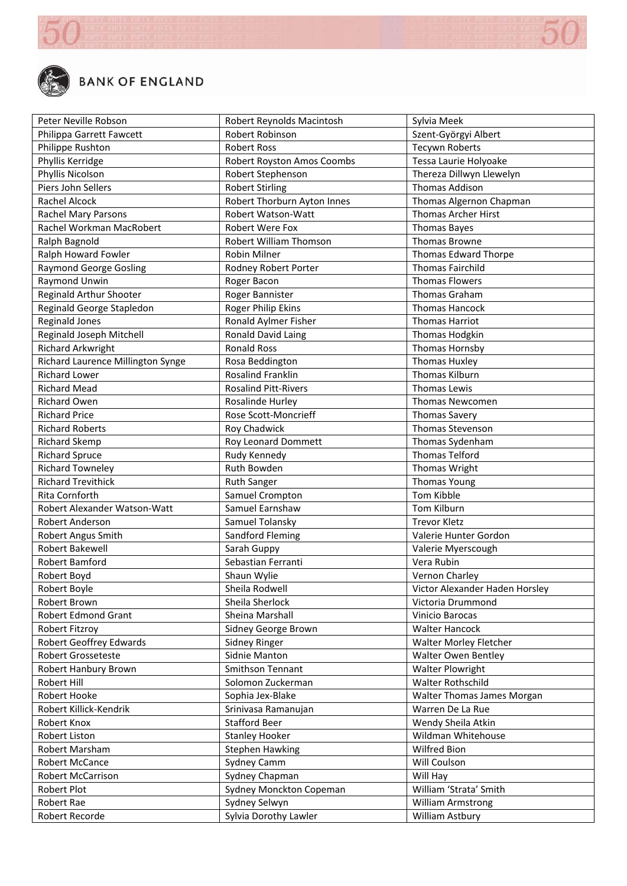

| Peter Neville Robson              | Robert Reynolds Macintosh   | Sylvia Meek                    |
|-----------------------------------|-----------------------------|--------------------------------|
| Philippa Garrett Fawcett          | Robert Robinson             | Szent-Györgyi Albert           |
| Philippe Rushton                  | <b>Robert Ross</b>          | <b>Tecywn Roberts</b>          |
| Phyllis Kerridge                  | Robert Royston Amos Coombs  | Tessa Laurie Holyoake          |
| Phyllis Nicolson                  | Robert Stephenson           | Thereza Dillwyn Llewelyn       |
| Piers John Sellers                | <b>Robert Stirling</b>      | <b>Thomas Addison</b>          |
| Rachel Alcock                     | Robert Thorburn Ayton Innes | Thomas Algernon Chapman        |
| Rachel Mary Parsons               | Robert Watson-Watt          | <b>Thomas Archer Hirst</b>     |
| Rachel Workman MacRobert          | Robert Were Fox             | <b>Thomas Bayes</b>            |
| Ralph Bagnold                     | Robert William Thomson      | <b>Thomas Browne</b>           |
| Ralph Howard Fowler               | <b>Robin Milner</b>         | Thomas Edward Thorpe           |
| <b>Raymond George Gosling</b>     | Rodney Robert Porter        | <b>Thomas Fairchild</b>        |
| Raymond Unwin                     | Roger Bacon                 | <b>Thomas Flowers</b>          |
| Reginald Arthur Shooter           | Roger Bannister             | Thomas Graham                  |
| Reginald George Stapledon         | Roger Philip Ekins          | Thomas Hancock                 |
| <b>Reginald Jones</b>             | Ronald Aylmer Fisher        | <b>Thomas Harriot</b>          |
| Reginald Joseph Mitchell          | Ronald David Laing          | Thomas Hodgkin                 |
| <b>Richard Arkwright</b>          | <b>Ronald Ross</b>          | Thomas Hornsby                 |
| Richard Laurence Millington Synge | Rosa Beddington             | <b>Thomas Huxley</b>           |
| <b>Richard Lower</b>              | <b>Rosalind Franklin</b>    | Thomas Kilburn                 |
| <b>Richard Mead</b>               | <b>Rosalind Pitt-Rivers</b> | Thomas Lewis                   |
| <b>Richard Owen</b>               | Rosalinde Hurley            | Thomas Newcomen                |
| <b>Richard Price</b>              | Rose Scott-Moncrieff        | <b>Thomas Savery</b>           |
| <b>Richard Roberts</b>            | Roy Chadwick                | Thomas Stevenson               |
| <b>Richard Skemp</b>              | Roy Leonard Dommett         | Thomas Sydenham                |
| <b>Richard Spruce</b>             | Rudy Kennedy                | <b>Thomas Telford</b>          |
| <b>Richard Towneley</b>           | Ruth Bowden                 | Thomas Wright                  |
| <b>Richard Trevithick</b>         | <b>Ruth Sanger</b>          | <b>Thomas Young</b>            |
| Rita Cornforth                    | Samuel Crompton             | Tom Kibble                     |
| Robert Alexander Watson-Watt      | Samuel Earnshaw             | Tom Kilburn                    |
| Robert Anderson                   | Samuel Tolansky             | <b>Trevor Kletz</b>            |
| Robert Angus Smith                | Sandford Fleming            | Valerie Hunter Gordon          |
| Robert Bakewell                   | Sarah Guppy                 | Valerie Myerscough             |
| Robert Bamford                    | Sebastian Ferranti          | Vera Rubin                     |
| Robert Boyd                       | Shaun Wylie                 | Vernon Charley                 |
| Robert Boyle                      | Sheila Rodwell              | Victor Alexander Haden Horsley |
| Robert Brown                      | Sheila Sherlock             | Victoria Drummond              |
| <b>Robert Edmond Grant</b>        | Sheina Marshall             | Vinicio Barocas                |
| Robert Fitzroy                    | Sidney George Brown         | <b>Walter Hancock</b>          |
| <b>Robert Geoffrey Edwards</b>    | Sidney Ringer               | Walter Morley Fletcher         |
| Robert Grosseteste                | Sidnie Manton               | <b>Walter Owen Bentley</b>     |
| <b>Robert Hanbury Brown</b>       | <b>Smithson Tennant</b>     | <b>Walter Plowright</b>        |
| Robert Hill                       | Solomon Zuckerman           | Walter Rothschild              |
| Robert Hooke                      | Sophia Jex-Blake            | Walter Thomas James Morgan     |
| Robert Killick-Kendrik            | Srinivasa Ramanujan         | Warren De La Rue               |
| Robert Knox                       | <b>Stafford Beer</b>        | Wendy Sheila Atkin             |
| Robert Liston                     | <b>Stanley Hooker</b>       | Wildman Whitehouse             |
| Robert Marsham                    | <b>Stephen Hawking</b>      | Wilfred Bion                   |
| Robert McCance                    | Sydney Camm                 | Will Coulson                   |
| <b>Robert McCarrison</b>          | Sydney Chapman              | Will Hay                       |
| Robert Plot                       | Sydney Monckton Copeman     | William 'Strata' Smith         |
| Robert Rae                        | Sydney Selwyn               | <b>William Armstrong</b>       |
| Robert Recorde                    | Sylvia Dorothy Lawler       | William Astbury                |
|                                   |                             |                                |